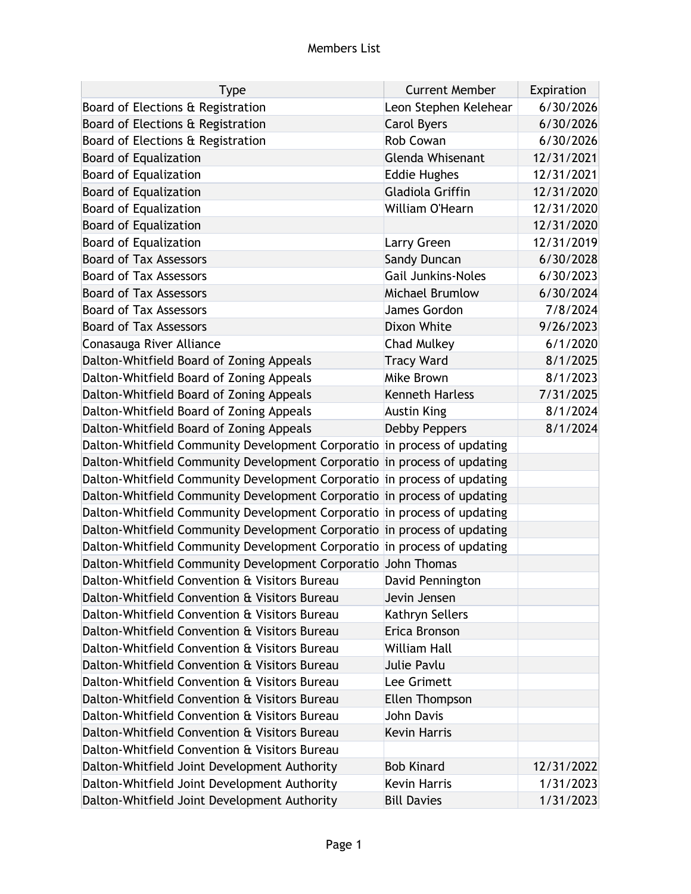## Members List

| <b>Type</b>                                                              | <b>Current Member</b>     | Expiration |
|--------------------------------------------------------------------------|---------------------------|------------|
| Board of Elections & Registration                                        | Leon Stephen Kelehear     | 6/30/2026  |
| Board of Elections & Registration                                        | <b>Carol Byers</b>        | 6/30/2026  |
| Board of Elections & Registration                                        | <b>Rob Cowan</b>          | 6/30/2026  |
| <b>Board of Equalization</b>                                             | <b>Glenda Whisenant</b>   | 12/31/2021 |
| <b>Board of Equalization</b>                                             | <b>Eddie Hughes</b>       | 12/31/2021 |
| <b>Board of Equalization</b>                                             | Gladiola Griffin          | 12/31/2020 |
| <b>Board of Equalization</b>                                             | William O'Hearn           | 12/31/2020 |
| <b>Board of Equalization</b>                                             |                           | 12/31/2020 |
| <b>Board of Equalization</b>                                             | Larry Green               | 12/31/2019 |
| <b>Board of Tax Assessors</b>                                            | <b>Sandy Duncan</b>       | 6/30/2028  |
| <b>Board of Tax Assessors</b>                                            | <b>Gail Junkins-Noles</b> | 6/30/2023  |
| <b>Board of Tax Assessors</b>                                            | Michael Brumlow           | 6/30/2024  |
| <b>Board of Tax Assessors</b>                                            | James Gordon              | 7/8/2024   |
| <b>Board of Tax Assessors</b>                                            | Dixon White               | 9/26/2023  |
| Conasauga River Alliance                                                 | <b>Chad Mulkey</b>        | 6/1/2020   |
| Dalton-Whitfield Board of Zoning Appeals                                 | <b>Tracy Ward</b>         | 8/1/2025   |
| Dalton-Whitfield Board of Zoning Appeals                                 | Mike Brown                | 8/1/2023   |
| Dalton-Whitfield Board of Zoning Appeals                                 | <b>Kenneth Harless</b>    | 7/31/2025  |
| Dalton-Whitfield Board of Zoning Appeals                                 | <b>Austin King</b>        | 8/1/2024   |
| Dalton-Whitfield Board of Zoning Appeals                                 | <b>Debby Peppers</b>      | 8/1/2024   |
| Dalton-Whitfield Community Development Corporatio in process of updating |                           |            |
| Dalton-Whitfield Community Development Corporatio in process of updating |                           |            |
| Dalton-Whitfield Community Development Corporatio in process of updating |                           |            |
| Dalton-Whitfield Community Development Corporatio in process of updating |                           |            |
| Dalton-Whitfield Community Development Corporatio in process of updating |                           |            |
| Dalton-Whitfield Community Development Corporatio in process of updating |                           |            |
| Dalton-Whitfield Community Development Corporatio in process of updating |                           |            |
| Dalton-Whitfield Community Development Corporatio John Thomas            |                           |            |
| Dalton-Whitfield Convention & Visitors Bureau                            | David Pennington          |            |
| Dalton-Whitfield Convention & Visitors Bureau                            | Jevin Jensen              |            |
| Dalton-Whitfield Convention & Visitors Bureau                            | Kathryn Sellers           |            |
| Dalton-Whitfield Convention & Visitors Bureau                            | Erica Bronson             |            |
| Dalton-Whitfield Convention & Visitors Bureau                            | <b>William Hall</b>       |            |
| Dalton-Whitfield Convention & Visitors Bureau                            | Julie Pavlu               |            |
| Dalton-Whitfield Convention & Visitors Bureau                            | Lee Grimett               |            |
| Dalton-Whitfield Convention & Visitors Bureau                            | Ellen Thompson            |            |
| Dalton-Whitfield Convention & Visitors Bureau                            | John Davis                |            |
| Dalton-Whitfield Convention & Visitors Bureau                            | <b>Kevin Harris</b>       |            |
| Dalton-Whitfield Convention & Visitors Bureau                            |                           |            |
| Dalton-Whitfield Joint Development Authority                             | <b>Bob Kinard</b>         | 12/31/2022 |
| Dalton-Whitfield Joint Development Authority                             | <b>Kevin Harris</b>       | 1/31/2023  |
| Dalton-Whitfield Joint Development Authority                             | <b>Bill Davies</b>        | 1/31/2023  |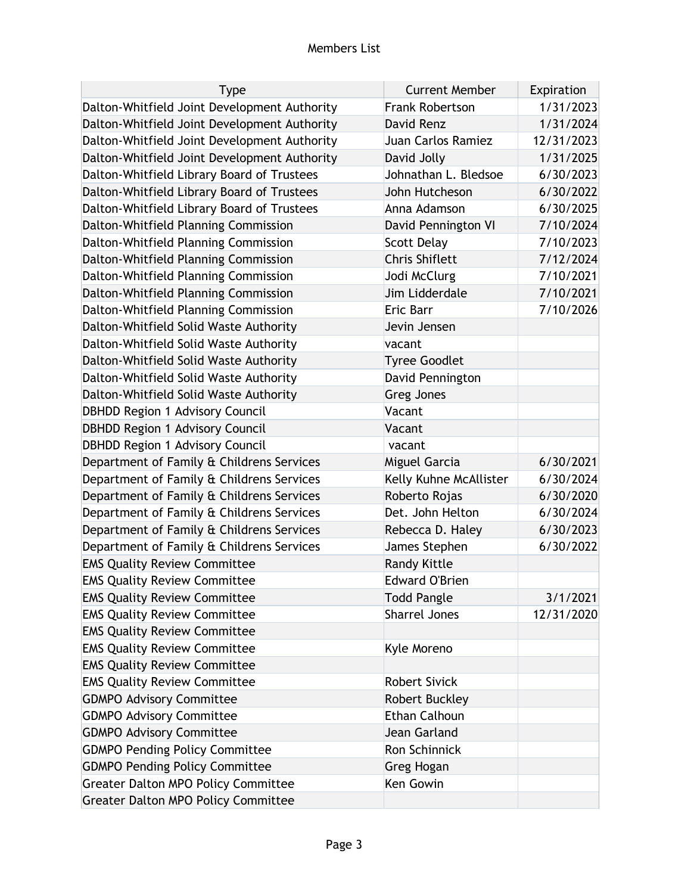## Members List

| <b>Type</b>                                  | <b>Current Member</b>  | Expiration |
|----------------------------------------------|------------------------|------------|
| Dalton-Whitfield Joint Development Authority | <b>Frank Robertson</b> | 1/31/2023  |
| Dalton-Whitfield Joint Development Authority | David Renz             | 1/31/2024  |
| Dalton-Whitfield Joint Development Authority | Juan Carlos Ramiez     | 12/31/2023 |
| Dalton-Whitfield Joint Development Authority | David Jolly            | 1/31/2025  |
| Dalton-Whitfield Library Board of Trustees   | Johnathan L. Bledsoe   | 6/30/2023  |
| Dalton-Whitfield Library Board of Trustees   | John Hutcheson         | 6/30/2022  |
| Dalton-Whitfield Library Board of Trustees   | Anna Adamson           | 6/30/2025  |
| Dalton-Whitfield Planning Commission         | David Pennington VI    | 7/10/2024  |
| Dalton-Whitfield Planning Commission         | <b>Scott Delay</b>     | 7/10/2023  |
| Dalton-Whitfield Planning Commission         | <b>Chris Shiflett</b>  | 7/12/2024  |
| Dalton-Whitfield Planning Commission         | Jodi McClurg           | 7/10/2021  |
| Dalton-Whitfield Planning Commission         | Jim Lidderdale         | 7/10/2021  |
| Dalton-Whitfield Planning Commission         | Eric Barr              | 7/10/2026  |
| Dalton-Whitfield Solid Waste Authority       | Jevin Jensen           |            |
| Dalton-Whitfield Solid Waste Authority       | vacant                 |            |
| Dalton-Whitfield Solid Waste Authority       | <b>Tyree Goodlet</b>   |            |
| Dalton-Whitfield Solid Waste Authority       | David Pennington       |            |
| Dalton-Whitfield Solid Waste Authority       | <b>Greg Jones</b>      |            |
| <b>DBHDD Region 1 Advisory Council</b>       | Vacant                 |            |
| <b>DBHDD Region 1 Advisory Council</b>       | Vacant                 |            |
| <b>DBHDD Region 1 Advisory Council</b>       | vacant                 |            |
| Department of Family & Childrens Services    | Miguel Garcia          | 6/30/2021  |
| Department of Family & Childrens Services    | Kelly Kuhne McAllister | 6/30/2024  |
| Department of Family & Childrens Services    | Roberto Rojas          | 6/30/2020  |
| Department of Family & Childrens Services    | Det. John Helton       | 6/30/2024  |
| Department of Family & Childrens Services    | Rebecca D. Haley       | 6/30/2023  |
| Department of Family & Childrens Services    | James Stephen          | 6/30/2022  |
| <b>EMS Quality Review Committee</b>          | <b>Randy Kittle</b>    |            |
| <b>EMS Quality Review Committee</b>          | <b>Edward O'Brien</b>  |            |
| <b>EMS Quality Review Committee</b>          | <b>Todd Pangle</b>     | 3/1/2021   |
| <b>EMS Quality Review Committee</b>          | <b>Sharrel Jones</b>   | 12/31/2020 |
| <b>EMS Quality Review Committee</b>          |                        |            |
| <b>EMS Quality Review Committee</b>          | Kyle Moreno            |            |
| <b>EMS Quality Review Committee</b>          |                        |            |
| <b>EMS Quality Review Committee</b>          | <b>Robert Sivick</b>   |            |
| <b>GDMPO Advisory Committee</b>              | <b>Robert Buckley</b>  |            |
| <b>GDMPO Advisory Committee</b>              | <b>Ethan Calhoun</b>   |            |
| <b>GDMPO Advisory Committee</b>              | Jean Garland           |            |
| <b>GDMPO Pending Policy Committee</b>        | Ron Schinnick          |            |
| <b>GDMPO Pending Policy Committee</b>        | <b>Greg Hogan</b>      |            |
| <b>Greater Dalton MPO Policy Committee</b>   | Ken Gowin              |            |
| <b>Greater Dalton MPO Policy Committee</b>   |                        |            |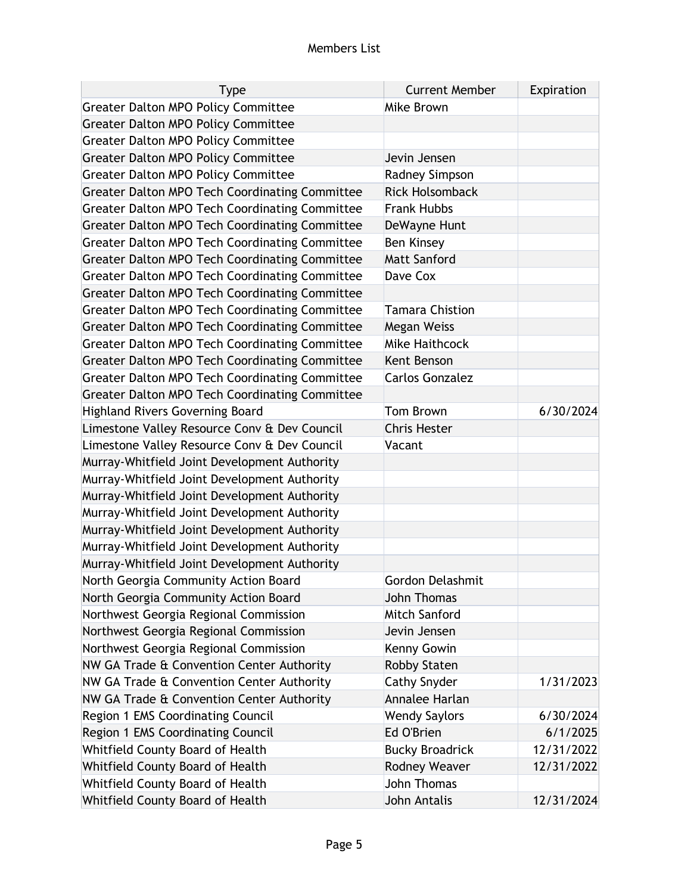| <b>Type</b>                                           | <b>Current Member</b>   | Expiration |
|-------------------------------------------------------|-------------------------|------------|
| <b>Greater Dalton MPO Policy Committee</b>            | Mike Brown              |            |
| <b>Greater Dalton MPO Policy Committee</b>            |                         |            |
| <b>Greater Dalton MPO Policy Committee</b>            |                         |            |
| <b>Greater Dalton MPO Policy Committee</b>            | Jevin Jensen            |            |
| <b>Greater Dalton MPO Policy Committee</b>            | <b>Radney Simpson</b>   |            |
| <b>Greater Dalton MPO Tech Coordinating Committee</b> | <b>Rick Holsomback</b>  |            |
| <b>Greater Dalton MPO Tech Coordinating Committee</b> | <b>Frank Hubbs</b>      |            |
| <b>Greater Dalton MPO Tech Coordinating Committee</b> | DeWayne Hunt            |            |
| <b>Greater Dalton MPO Tech Coordinating Committee</b> | <b>Ben Kinsey</b>       |            |
| <b>Greater Dalton MPO Tech Coordinating Committee</b> | <b>Matt Sanford</b>     |            |
| <b>Greater Dalton MPO Tech Coordinating Committee</b> | Dave Cox                |            |
| <b>Greater Dalton MPO Tech Coordinating Committee</b> |                         |            |
| <b>Greater Dalton MPO Tech Coordinating Committee</b> | Tamara Chistion         |            |
| <b>Greater Dalton MPO Tech Coordinating Committee</b> | Megan Weiss             |            |
| <b>Greater Dalton MPO Tech Coordinating Committee</b> | <b>Mike Haithcock</b>   |            |
| <b>Greater Dalton MPO Tech Coordinating Committee</b> | Kent Benson             |            |
| <b>Greater Dalton MPO Tech Coordinating Committee</b> | <b>Carlos Gonzalez</b>  |            |
| <b>Greater Dalton MPO Tech Coordinating Committee</b> |                         |            |
| <b>Highland Rivers Governing Board</b>                | <b>Tom Brown</b>        | 6/30/2024  |
| Limestone Valley Resource Conv & Dev Council          | <b>Chris Hester</b>     |            |
| Limestone Valley Resource Conv & Dev Council          | Vacant                  |            |
| Murray-Whitfield Joint Development Authority          |                         |            |
| Murray-Whitfield Joint Development Authority          |                         |            |
| Murray-Whitfield Joint Development Authority          |                         |            |
| Murray-Whitfield Joint Development Authority          |                         |            |
| Murray-Whitfield Joint Development Authority          |                         |            |
| Murray-Whitfield Joint Development Authority          |                         |            |
| Murray-Whitfield Joint Development Authority          |                         |            |
| North Georgia Community Action Board                  | <b>Gordon Delashmit</b> |            |
| North Georgia Community Action Board                  | <b>John Thomas</b>      |            |
| Northwest Georgia Regional Commission                 | <b>Mitch Sanford</b>    |            |
| Northwest Georgia Regional Commission                 | Jevin Jensen            |            |
| Northwest Georgia Regional Commission                 | Kenny Gowin             |            |
| NW GA Trade & Convention Center Authority             | <b>Robby Staten</b>     |            |
| NW GA Trade & Convention Center Authority             | <b>Cathy Snyder</b>     | 1/31/2023  |
| NW GA Trade & Convention Center Authority             | Annalee Harlan          |            |
| Region 1 EMS Coordinating Council                     | <b>Wendy Saylors</b>    | 6/30/2024  |
| Region 1 EMS Coordinating Council                     | Ed O'Brien              | 6/1/2025   |
| Whitfield County Board of Health                      | <b>Bucky Broadrick</b>  | 12/31/2022 |
| Whitfield County Board of Health                      | <b>Rodney Weaver</b>    | 12/31/2022 |
| Whitfield County Board of Health                      | <b>John Thomas</b>      |            |
| Whitfield County Board of Health                      | John Antalis            | 12/31/2024 |